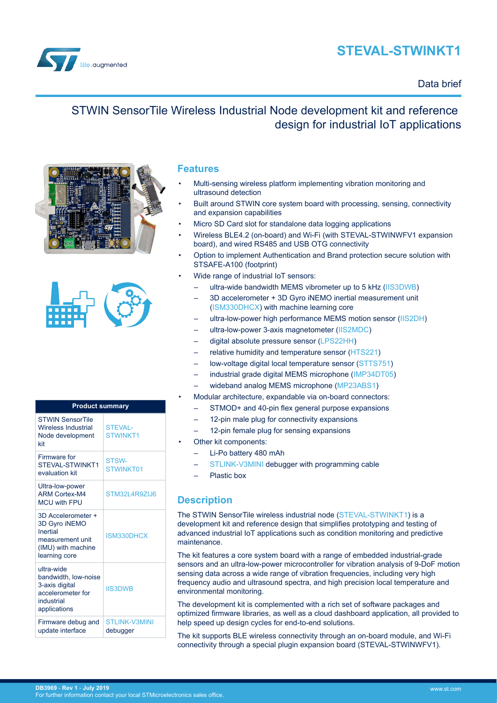# **STEVAL-STWINKT1**



## Data brief

# STWIN SensorTile Wireless Industrial Node development kit and reference design for industrial IoT applications





| <b>Product summary</b>                                                                                     |                                   |  |
|------------------------------------------------------------------------------------------------------------|-----------------------------------|--|
| <b>STWIN SensorTile</b><br><b>Wireless Industrial</b><br>Node development<br>kit                           | <b>STEVAL-</b><br><b>STWINKT1</b> |  |
| Firmware for<br>STEVAL-STWINKT1<br>evaluation kit                                                          | STSW-<br>STWINKT01                |  |
| Ultra-low-power<br><b>ARM Cortex-M4</b><br><b>MCU with FPU</b>                                             | STM32L4R9ZIJ6                     |  |
| 3D Accelerometer +<br>3D Gyro iNEMO<br>Inertial<br>measurement unit<br>(IMU) with machine<br>learning core | ISM330DHCX                        |  |
| ultra-wide<br>bandwidth, low-noise<br>3-axis digital<br>accelerometer for<br>industrial<br>applications    | <b>IIS3DWB</b>                    |  |
| Firmware debug and<br>update interface                                                                     | STI INK-V3MINI<br>debugger        |  |

### **Features**

- Multi-sensing wireless platform implementing vibration monitoring and ultrasound detection
- Built around STWIN core system board with processing, sensing, connectivity and expansion capabilities
- Micro SD Card slot for standalone data logging applications
- Wireless BLE4.2 (on-board) and Wi-Fi (with STEVAL-STWINWFV1 expansion board), and wired RS485 and USB OTG connectivity
- Option to implement Authentication and Brand protection secure solution with STSAFE-A100 (footprint)
- Wide range of industrial IoT sensors:
	- ultra-wide bandwidth MEMS vibrometer up to 5 kHz [\(IIS3DWB](https://www.st.com/en/product/iis3dwb))
	- 3D accelerometer + 3D Gyro iNEMO inertial measurement unit [\(ISM330DHCX\)](https://www.st.com/en/product/ism330dhcx) with machine learning core
	- ultra-low-power high performance MEMS motion sensor ([IIS2DH\)](https://www.st.com/en/product/iis2dh)
	- ultra-low-power 3-axis magnetometer ([IIS2MDC](https://www.st.com/en/product/iis2mdc))
	- digital absolute pressure sensor [\(LPS22HH](https://www.st.com/en/product/lps22hh))
	- relative humidity and temperature sensor [\(HTS221](https://www.st.com/en/product/hts221))
	- low-voltage digital local temperature sensor [\(STTS751](https://www.st.com/en/product/stts751))
	- industrial grade digital MEMS microphone ([IMP34DT05\)](https://www.st.com/en/product/imp34dt05)
	- wideband analog MEMS microphone [\(MP23ABS1\)](https://www.st.com/en/product/mp23abs1)
- Modular architecture, expandable via on-board connectors:
	- STMOD+ and 40-pin flex general purpose expansions
		- 12-pin male plug for connectivity expansions
		- 12-pin female plug for sensing expansions
- Other kit components:
	- Li-Po battery 480 mAh
	- [STLINK-V3MINI](https://www.st.com/en/product/stlink-v3mini) debugger with programming cable
	- Plastic box

## **Description**

The STWIN SensorTile wireless industrial node [\(STEVAL-STWINKT1\)](https://www.st.com/en/product/steval-stwinkt1) is a development kit and reference design that simplifies prototyping and testing of advanced industrial IoT applications such as condition monitoring and predictive maintenance.

The kit features a core system board with a range of embedded industrial-grade sensors and an ultra-low-power microcontroller for vibration analysis of 9-DoF motion sensing data across a wide range of vibration frequencies, including very high frequency audio and ultrasound spectra, and high precision local temperature and environmental monitoring.

The development kit is complemented with a rich set of software packages and optimized firmware libraries, as well as a cloud dashboard application, all provided to help speed up design cycles for end-to-end solutions.

The kit supports BLE wireless connectivity through an on-board module, and Wi-Fi connectivity through a special plugin expansion board (STEVAL-STWINWFV1).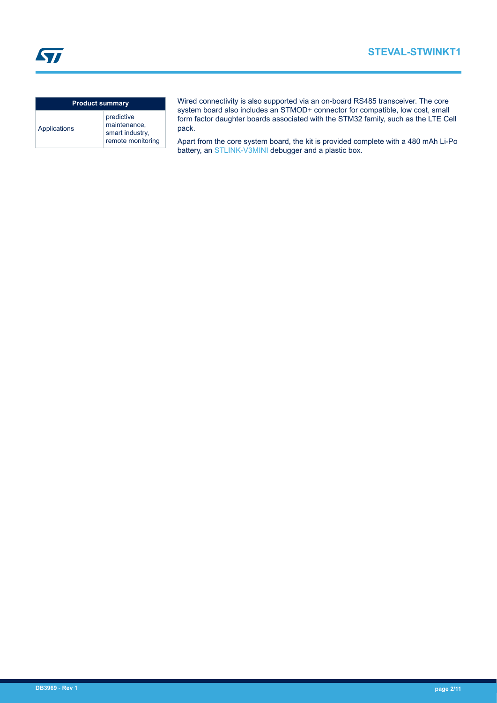**STEVAL-STWINKT1**

**ST** 

#### **Product summary** Applications predictive maintenance, smart industry, remote monitoring

Wired connectivity is also supported via an on-board RS485 transceiver. The core system board also includes an STMOD+ connector for compatible, low cost, small form factor daughter boards associated with the STM32 family, such as the LTE Cell pack.

Apart from the core system board, the kit is provided complete with a 480 mAh Li-Po battery, an [STLINK-V3MINI](https://www.st.com/en/product/stlink-v3mini) debugger and a plastic box.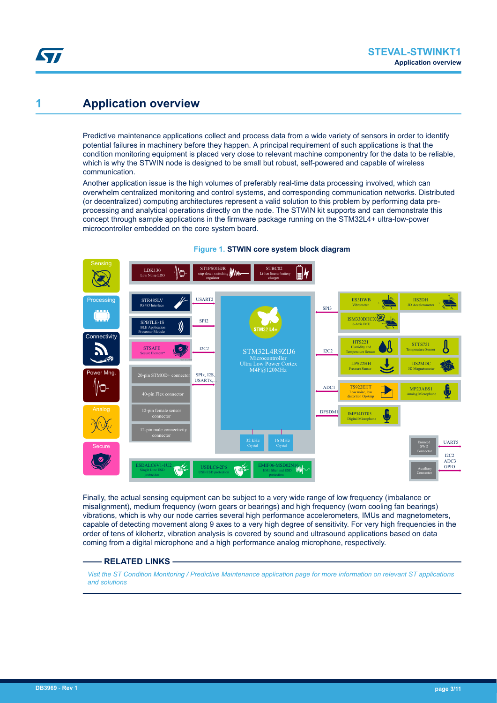## **1 Application overview**

57

Predictive maintenance applications collect and process data from a wide variety of sensors in order to identify potential failures in machinery before they happen. A principal requirement of such applications is that the condition monitoring equipment is placed very close to relevant machine componentry for the data to be reliable, which is why the STWIN node is designed to be small but robust, self-powered and capable of wireless communication.

Another application issue is the high volumes of preferably real-time data processing involved, which can overwhelm centralized monitoring and control systems, and corresponding communication networks. Distributed (or decentralized) computing architectures represent a valid solution to this problem by performing data preprocessing and analytical operations directly on the node. The STWIN kit supports and can demonstrate this concept through sample applications in the firmware package running on the STM32L4+ ultra-low-power microcontroller embedded on the core system board.



#### **Figure 1. STWIN core system block diagram**

Finally, the actual sensing equipment can be subject to a very wide range of low frequency (imbalance or misalignment), medium frequency (worn gears or bearings) and high frequency (worn cooling fan bearings) vibrations, which is why our node carries several high performance accelerometers, IMUs and magnetometers, capable of detecting movement along 9 axes to a very high degree of sensitivity. For very high frequencies in the order of tens of kilohertz, vibration analysis is covered by sound and ultrasound applications based on data coming from a digital microphone and a high performance analog microphone, respectively.

#### **RELATED LINKS**

*[Visit the ST Condition Monitoring / Predictive Maintenance application page for more information on relevant ST applications](https://www.st.com/en/applications/factory-automation/condition-monitoring-predictive-maintenance.html) [and solutions](https://www.st.com/en/applications/factory-automation/condition-monitoring-predictive-maintenance.html)*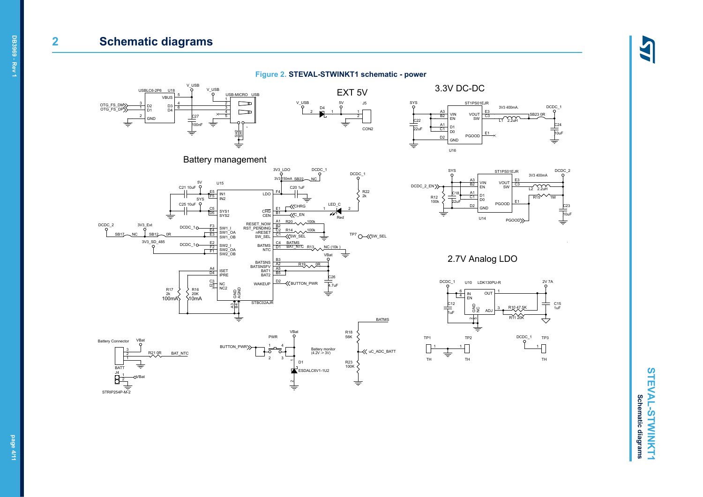## **2 Schematic diagrams**

#### **Figure 2. STEVAL-STWINKT1 schematic - power**













2.7V Analog LDO



**STEVAL-STWINKT1 STEVAL-STWINKT1 Schematic diagrams Schematic diagrams**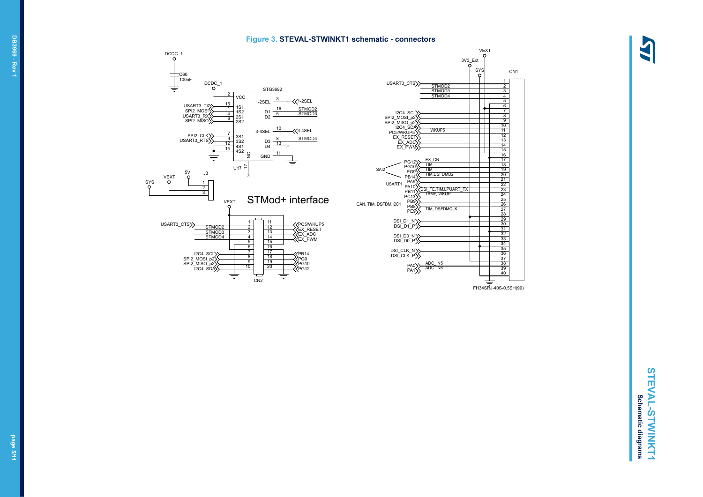#### **Figure 3. STEVAL-STWINKT1 schematic - connectors**





# STEVAL-STWINKT1 **STEVAL-STWINKT1 Schematic diagrams Schematic diagrams**

4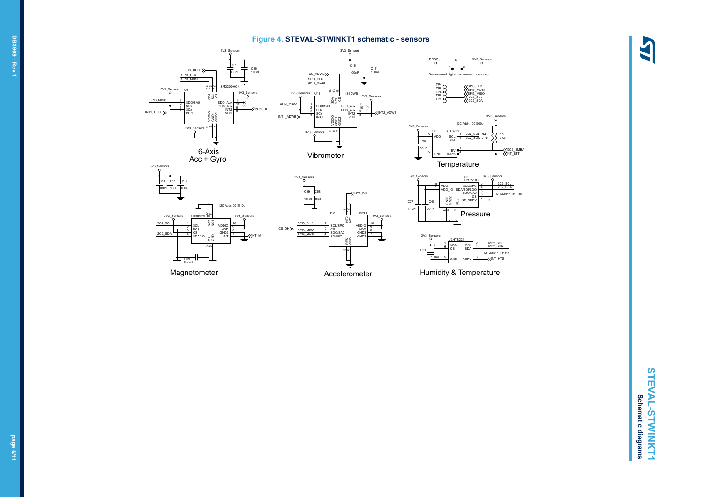#### **Figure 4. STEVAL-STWINKT1 schematic - sensors**





J6

DCDC

3V3\_Sensors





CS

SDA/I/O

4

C19 0.22uF

Magnetometer

ة ة

6

47

g<br>G

 $\overline{N}$ 

7

8

9

10

 $3\sqrt{3}$ <sub>Se</sub>



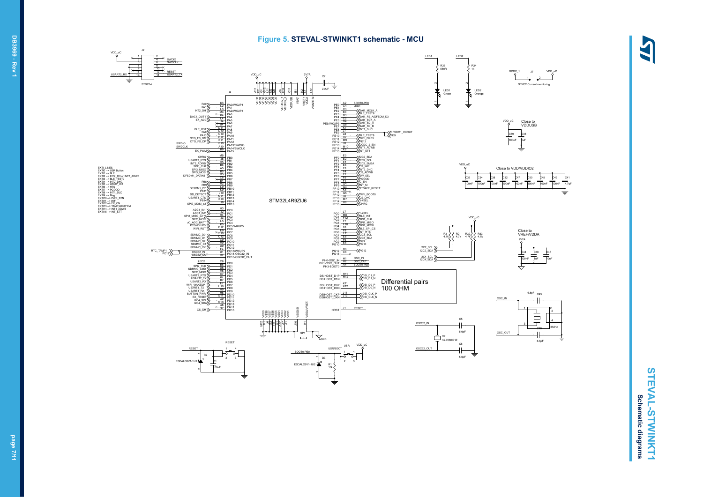#### **Figure 5. STEVAL-STWINKT1 schematic - MCU**

LAS



STEVAL-STWINKT1 **STEVAL-STWINKT1 Schematic diagrams Schematic diagrams**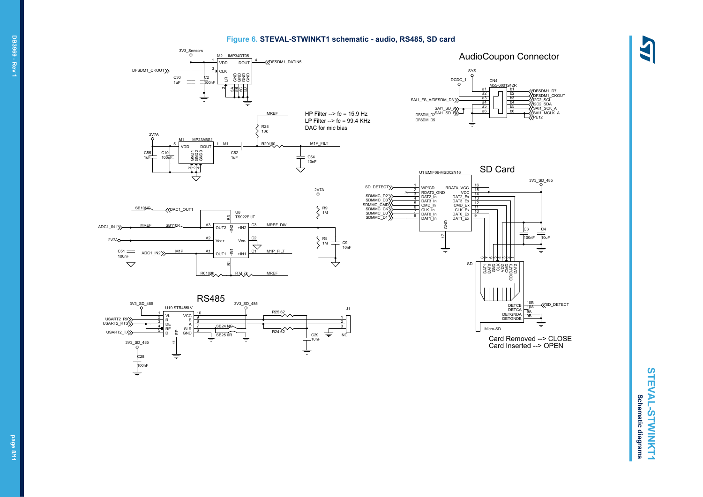#### **Figure 6. STEVAL-STWINKT1 schematic - audio, RS485, SD card**





**STEVAL-STWINKT1 STEVAL-STWINKT1 Schematic diagrams Schematic diagrams**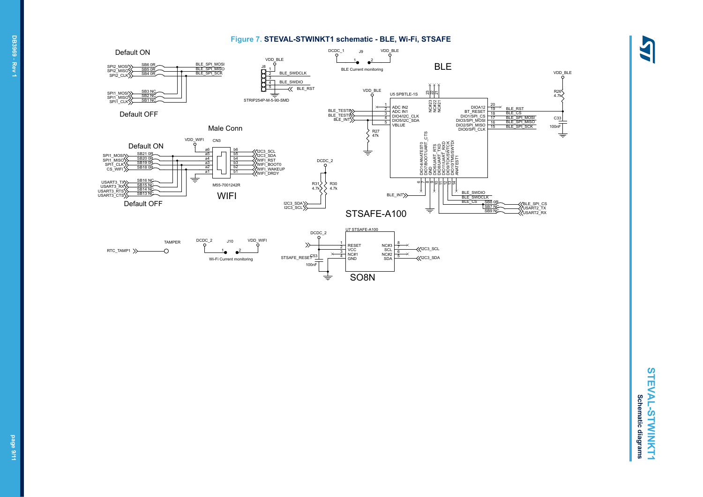

4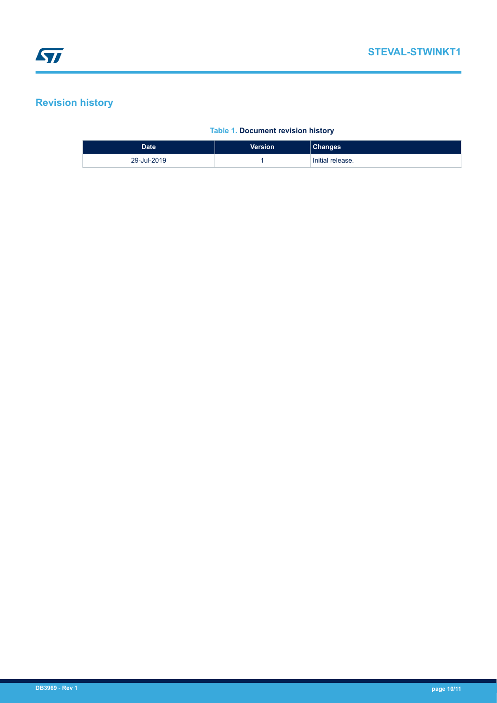## **Revision history**

#### **Table 1. Document revision history**

| Date <sup>1</sup> | <b>Version</b> | <b>Changes</b>   |
|-------------------|----------------|------------------|
| 29-Jul-2019       |                | Initial release. |